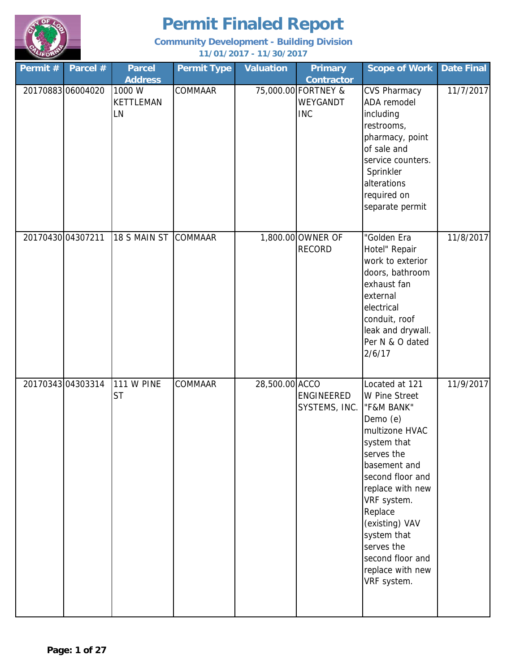

| Permit #          | Parcel #         | <b>Parcel</b><br><b>Address</b>  | <b>Permit Type</b> | <b>Valuation</b> | <b>Primary</b><br><b>Contractor</b>           | <b>Scope of Work</b>                                                                                                                                                                                                                                                                             | <b>Date Final</b> |
|-------------------|------------------|----------------------------------|--------------------|------------------|-----------------------------------------------|--------------------------------------------------------------------------------------------------------------------------------------------------------------------------------------------------------------------------------------------------------------------------------------------------|-------------------|
|                   | 2017088306004020 | 1000 W<br><b>KETTLEMAN</b><br>LN | COMMAAR            |                  | 75,000.00 FORTNEY &<br>WEYGANDT<br><b>INC</b> | <b>CVS Pharmacy</b><br>ADA remodel<br>including<br>restrooms,<br>pharmacy, point<br>of sale and<br>service counters.<br>Sprinkler<br>alterations<br>required on<br>separate permit                                                                                                               | 11/7/2017         |
| 20170430 04307211 |                  | 18 S MAIN ST                     | <b>COMMAAR</b>     |                  | 1,800.00 OWNER OF<br><b>RECORD</b>            | "Golden Era<br>Hotel" Repair<br>work to exterior<br>doors, bathroom<br>exhaust fan<br>external<br>electrical<br>conduit, roof<br>leak and drywall.<br>Per N & O dated<br>2/6/17                                                                                                                  | 11/8/2017         |
|                   | 2017034304303314 | <b>111 W PINE</b><br><b>ST</b>   | <b>COMMAAR</b>     | 28,500.00 ACCO   | ENGINEERED<br>SYSTEMS, INC.                   | Located at 121<br>W Pine Street<br>"F&M BANK"<br>Demo (e)<br>multizone HVAC<br>system that<br>serves the<br>basement and<br>second floor and<br>replace with new<br>VRF system.<br>Replace<br>(existing) VAV<br>system that<br>serves the<br>second floor and<br>replace with new<br>VRF system. | 11/9/2017         |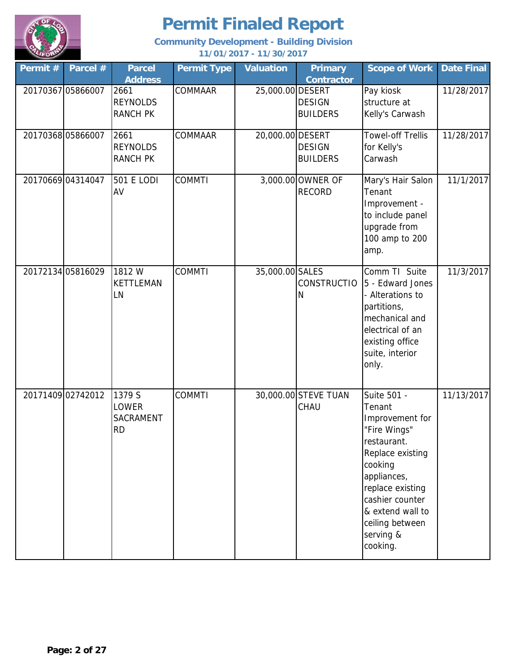

| Permit# | Parcel #          | <b>Parcel</b><br><b>Address</b>            | <b>Permit Type</b> | <b>Valuation</b> | <b>Primary</b><br><b>Contractor</b> | <b>Scope of Work</b>                                                                                                                                                                                                         | <b>Date Final</b> |
|---------|-------------------|--------------------------------------------|--------------------|------------------|-------------------------------------|------------------------------------------------------------------------------------------------------------------------------------------------------------------------------------------------------------------------------|-------------------|
|         | 20170367 05866007 | 2661<br><b>REYNOLDS</b><br><b>RANCH PK</b> | COMMAAR            | 25,000.00 DESERT | <b>DESIGN</b><br><b>BUILDERS</b>    | Pay kiosk<br>structure at<br>Kelly's Carwash                                                                                                                                                                                 | 11/28/2017        |
|         | 20170368 05866007 | 2661<br><b>REYNOLDS</b><br><b>RANCH PK</b> | COMMAAR            | 20,000.00 DESERT | <b>DESIGN</b><br><b>BUILDERS</b>    | <b>Towel-off Trellis</b><br>for Kelly's<br>Carwash                                                                                                                                                                           | 11/28/2017        |
|         | 20170669 04314047 | 501 E LODI<br>AV                           | <b>COMMTI</b>      |                  | 3,000.00 OWNER OF<br><b>RECORD</b>  | Mary's Hair Salon<br>Tenant<br>Improvement -<br>to include panel<br>upgrade from<br>100 amp to 200<br>amp.                                                                                                                   | 11/1/2017         |
|         | 20172134 05816029 | 1812W<br>KETTLEMAN<br>LN                   | <b>COMMTI</b>      | 35,000.00 SALES  | <b>CONSTRUCTIO</b><br>N             | Comm TI Suite<br>5 - Edward Jones<br>Alterations to<br>partitions,<br>mechanical and<br>electrical of an<br>existing office<br>suite, interior<br>only.                                                                      | 11/3/2017         |
|         | 20171409 02742012 | 1379 S<br>LOWER<br>SACRAMENT<br><b>RD</b>  | <b>COMMTI</b>      |                  | 30,000.00 STEVE TUAN<br>CHAU        | Suite 501 -<br>Tenant<br>Improvement for<br>"Fire Wings"<br>restaurant.<br>Replace existing<br>cooking<br>appliances,<br>replace existing<br>cashier counter<br>& extend wall to<br>ceiling between<br>serving &<br>cooking. | 11/13/2017        |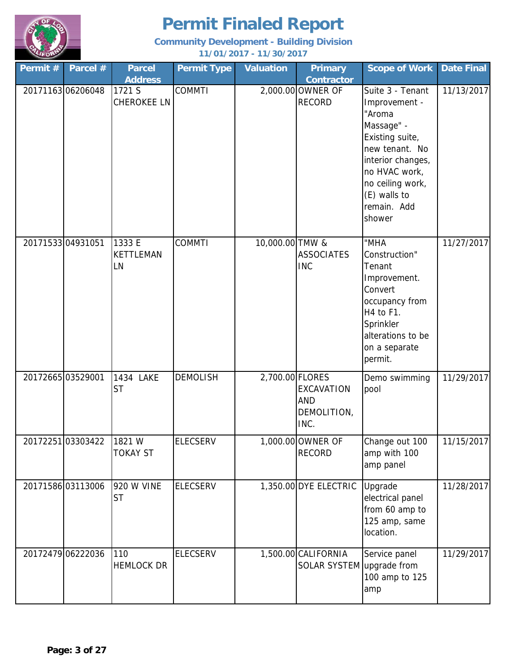

| Permit #          | Parcel #         | <b>Parcel</b><br><b>Address</b>  | <b>Permit Type</b> | <b>Valuation</b> | <b>Primary</b><br><b>Contractor</b>              | <b>Scope of Work</b>                                                                                                                                                                              | <b>Date Final</b> |
|-------------------|------------------|----------------------------------|--------------------|------------------|--------------------------------------------------|---------------------------------------------------------------------------------------------------------------------------------------------------------------------------------------------------|-------------------|
|                   | 2017116306206048 | 1721 S<br><b>CHEROKEE LN</b>     | <b>COMMTI</b>      |                  | 2,000.00 OWNER OF<br><b>RECORD</b>               | Suite 3 - Tenant<br>Improvement -<br>"Aroma<br>Massage" -<br>Existing suite,<br>new tenant. No<br>interior changes,<br>no HVAC work,<br>no ceiling work,<br>(E) walls to<br>remain. Add<br>shower | 11/13/2017        |
| 20171533 04931051 |                  | 1333 E<br><b>KETTLEMAN</b><br>LN | <b>COMMTI</b>      | 10,000.00 TMW &  | <b>ASSOCIATES</b><br><b>INC</b>                  | "MHA<br>Construction"<br>Tenant<br>Improvement.<br>Convert<br>occupancy from<br>H4 to F1.<br>Sprinkler<br>alterations to be<br>on a separate<br>permit.                                           | 11/27/2017        |
| 20172665 03529001 |                  | 1434 LAKE<br><b>ST</b>           | <b>DEMOLISH</b>    | 2,700.00 FLORES  | <b>EXCAVATION</b><br>AND<br>DEMOLITION,<br>INC.  | Demo swimming<br>pool                                                                                                                                                                             | 11/29/2017        |
|                   | 2017225103303422 | 1821 W<br><b>TOKAY ST</b>        | <b>ELECSERV</b>    |                  | 1,000.00 OWNER OF<br><b>RECORD</b>               | Change out 100<br>amp with 100<br>amp panel                                                                                                                                                       | 11/15/2017        |
| 20171586 03113006 |                  | 920 W VINE<br><b>ST</b>          | <b>ELECSERV</b>    |                  | 1,350.00 DYE ELECTRIC                            | Upgrade<br>electrical panel<br>from 60 amp to<br>125 amp, same<br>location.                                                                                                                       | 11/28/2017        |
| 20172479 06222036 |                  | 110<br><b>HEMLOCK DR</b>         | <b>ELECSERV</b>    |                  | 1,500.00 CALIFORNIA<br>SOLAR SYSTEM upgrade from | Service panel<br>100 amp to 125<br>amp                                                                                                                                                            | 11/29/2017        |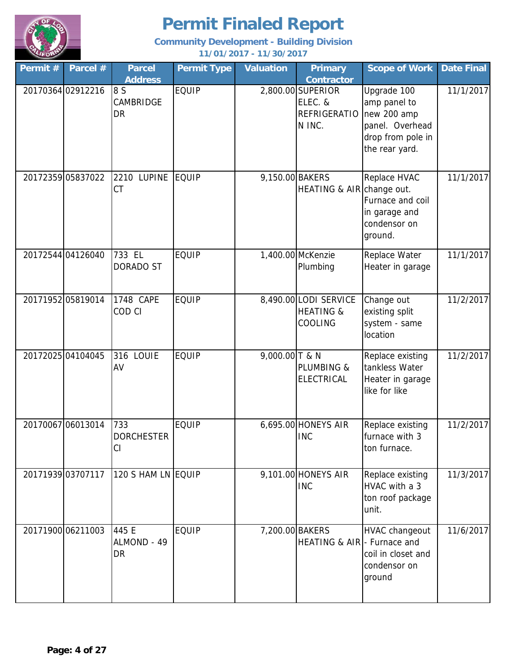

| Permit #          | Parcel #          | <b>Parcel</b><br><b>Address</b> | <b>Permit Type</b> | <b>Valuation</b> | <b>Primary</b><br><b>Contractor</b>                           | <b>Scope of Work</b>                                                                                 | <b>Date Final</b> |
|-------------------|-------------------|---------------------------------|--------------------|------------------|---------------------------------------------------------------|------------------------------------------------------------------------------------------------------|-------------------|
|                   | 20170364 02912216 | 8 S<br>CAMBRIDGE<br>DR          | <b>EQUIP</b>       |                  | 2,800.00 SUPERIOR<br>ELEC. &<br><b>REFRIGERATIO</b><br>N INC. | Upgrade 100<br>amp panel to<br>new 200 amp<br>panel. Overhead<br>drop from pole in<br>the rear yard. | 11/1/2017         |
|                   | 20172359 05837022 | 2210 LUPINE<br><b>CT</b>        | EQUIP              | 9,150.00 BAKERS  | HEATING & AIR change out.                                     | Replace HVAC<br>Furnace and coil<br>in garage and<br>condensor on<br>ground.                         | 11/1/2017         |
|                   | 20172544 04126040 | 733 EL<br>DORADO ST             | <b>EQUIP</b>       |                  | 1,400.00 McKenzie<br>Plumbing                                 | Replace Water<br>Heater in garage                                                                    | 11/1/2017         |
| 20171952 05819014 |                   | 1748 CAPE<br>COD CI             | <b>EQUIP</b>       |                  | 8,490.00 LODI SERVICE<br><b>HEATING &amp;</b><br>COOLING      | Change out<br>existing split<br>system - same<br>location                                            | 11/2/2017         |
| 20172025 04104045 |                   | 316 LOUIE<br>AV                 | <b>EQUIP</b>       | 9,000.00 T & N   | <b>PLUMBING &amp;</b><br><b>ELECTRICAL</b>                    | Replace existing<br>tankless Water<br>Heater in garage<br>like for like                              | 11/2/2017         |
| 20170067 06013014 |                   | 733<br><b>DORCHESTER</b><br>CI  | <b>EQUIP</b>       |                  | 6,695.00 HONEYS AIR<br><b>INC</b>                             | Replace existing<br>furnace with 3<br>ton furnace.                                                   | 11/2/2017         |
|                   | 20171939 03707117 | 120 S HAM LN EQUIP              |                    |                  | 9,101.00 HONEYS AIR<br><b>INC</b>                             | Replace existing<br>HVAC with a 3<br>ton roof package<br>unit.                                       | 11/3/2017         |
|                   | 20171900 06211003 | 445 E<br>ALMOND - 49<br>DR      | <b>EQUIP</b>       | 7,200.00 BAKERS  | HEATING & AIR - Furnace and                                   | HVAC changeout<br>coil in closet and<br>condensor on<br>ground                                       | 11/6/2017         |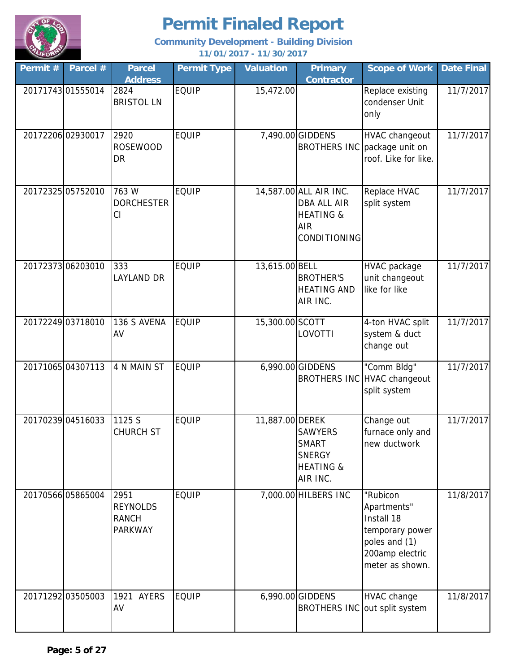

| Permit # | Parcel #          | <b>Parcel</b><br><b>Address</b>                           | <b>Permit Type</b> | <b>Valuation</b> | <b>Primary</b><br><b>Contractor</b>                                                                       | <b>Scope of Work</b>                                                                                            | <b>Date Final</b> |
|----------|-------------------|-----------------------------------------------------------|--------------------|------------------|-----------------------------------------------------------------------------------------------------------|-----------------------------------------------------------------------------------------------------------------|-------------------|
|          | 20171743 01555014 | 2824<br><b>BRISTOL LN</b>                                 | <b>EQUIP</b>       | 15,472.00        |                                                                                                           | Replace existing<br>condenser Unit<br>only                                                                      | 11/7/2017         |
|          | 20172206 02930017 | 2920<br><b>ROSEWOOD</b><br>DR                             | <b>EQUIP</b>       |                  | 7,490.00 GIDDENS                                                                                          | <b>HVAC changeout</b><br>BROTHERS INC package unit on<br>roof. Like for like.                                   | 11/7/2017         |
|          | 20172325 05752010 | 763 W<br><b>DORCHESTER</b><br>CI                          | <b>EQUIP</b>       |                  | 14,587.00 ALL AIR INC.<br><b>DBA ALL AIR</b><br><b>HEATING &amp;</b><br><b>AIR</b><br><b>CONDITIONING</b> | Replace HVAC<br>split system                                                                                    | 11/7/2017         |
|          | 20172373 06203010 | 333<br><b>LAYLAND DR</b>                                  | <b>EQUIP</b>       | 13,615.00 BELL   | <b>BROTHER'S</b><br><b>HEATING AND</b><br>AIR INC.                                                        | HVAC package<br>unit changeout<br>like for like                                                                 | 11/7/2017         |
|          | 20172249 03718010 | 136 S AVENA<br>AV                                         | <b>EQUIP</b>       | 15,300.00 SCOTT  | LOVOTTI                                                                                                   | 4-ton HVAC split<br>system & duct<br>change out                                                                 | 11/7/2017         |
|          | 20171065 04307113 | 4 N MAIN ST                                               | <b>EQUIP</b>       |                  | 6,990.00 GIDDENS                                                                                          | "Comm Bldg"<br>BROTHERS INC HVAC changeout<br>split system                                                      | 11/7/2017         |
|          | 20170239 04516033 | 1125 S<br><b>CHURCH ST</b>                                | <b>EQUIP</b>       | 11,887.00 DEREK  | <b>SAWYERS</b><br><b>SMART</b><br><b>SNERGY</b><br><b>HEATING &amp;</b><br>AIR INC.                       | Change out<br>furnace only and<br>new ductwork                                                                  | 11/7/2017         |
|          | 20170566 05865004 | 2951<br><b>REYNOLDS</b><br><b>RANCH</b><br><b>PARKWAY</b> | <b>EQUIP</b>       |                  | 7,000.00 HILBERS INC                                                                                      | "Rubicon<br>Apartments"<br>Install 18<br>temporary power<br>poles and (1)<br>200amp electric<br>meter as shown. | 11/8/2017         |
|          | 20171292 03505003 | 1921 AYERS<br>AV                                          | <b>EQUIP</b>       |                  | 6,990.00 GIDDENS                                                                                          | <b>HVAC</b> change<br>BROTHERS INC out split system                                                             | 11/8/2017         |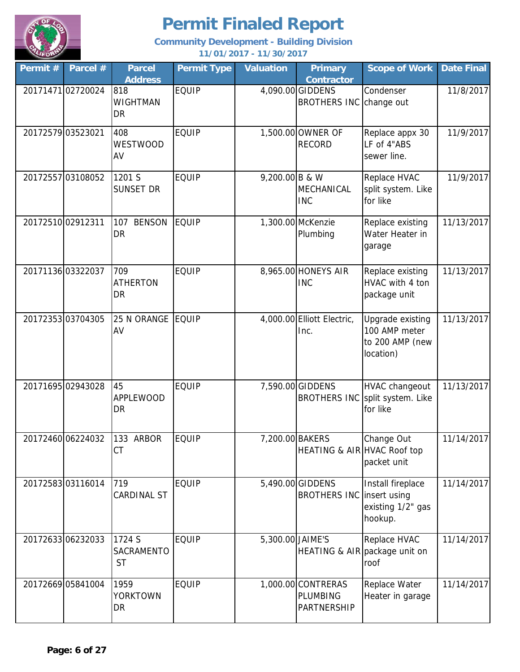

| Permit # | Parcel #          | <b>Parcel</b><br><b>Address</b>   | <b>Permit Type</b> | <b>Valuation</b> | <b>Primary</b><br><b>Contractor</b>                  | <b>Scope of Work</b>                                              | <b>Date Final</b> |
|----------|-------------------|-----------------------------------|--------------------|------------------|------------------------------------------------------|-------------------------------------------------------------------|-------------------|
|          | 2017147102720024  | 818<br><b>WIGHTMAN</b><br>DR      | <b>EQUIP</b>       |                  | 4,090.00 GIDDENS<br><b>BROTHERS INC</b>              | Condenser<br>change out                                           | 11/8/2017         |
|          | 20172579 03523021 | 408<br><b>WESTWOOD</b><br>AV      | <b>EQUIP</b>       |                  | 1,500.00 OWNER OF<br><b>RECORD</b>                   | Replace appx 30<br>LF of 4"ABS<br>sewer line.                     | 11/9/2017         |
|          | 2017255703108052  | 1201 S<br>SUNSET DR               | <b>EQUIP</b>       | 9,200.00 B & W   | MECHANICAL<br><b>INC</b>                             | Replace HVAC<br>split system. Like<br>for like                    | 11/9/2017         |
|          | 20172510 02912311 | <b>BENSON</b><br>107<br>DR        | <b>EQUIP</b>       |                  | 1,300.00 McKenzie<br>Plumbing                        | Replace existing<br>Water Heater in<br>garage                     | 11/13/2017        |
|          | 20171136 03322037 | 709<br><b>ATHERTON</b><br>DR      | <b>EQUIP</b>       |                  | 8,965.00 HONEYS AIR<br><b>INC</b>                    | Replace existing<br>HVAC with 4 ton<br>package unit               | 11/13/2017        |
|          | 2017235303704305  | 25 N ORANGE<br>AV                 | <b>EQUIP</b>       |                  | 4,000.00 Elliott Electric,<br>Inc.                   | Upgrade existing<br>100 AMP meter<br>to 200 AMP (new<br>location) | 11/13/2017        |
|          | 20171695 02943028 | 45<br><b>APPLEWOOD</b><br>DR      | <b>EQUIP</b>       |                  | 7,590.00 GIDDENS<br><b>BROTHERS INC</b>              | <b>HVAC changeout</b><br>split system. Like<br>for like           | 11/13/2017        |
|          | 20172460 06224032 | 133 ARBOR<br>СT                   | <b>EQUIP</b>       |                  | 7,200.00 BAKERS<br>HEATING & AIR HVAC Roof top       | Change Out<br>packet unit                                         | 11/14/2017        |
|          | 2017258303116014  | 719<br><b>CARDINAL ST</b>         | <b>EQUIP</b>       |                  | 5,490.00 GIDDENS<br><b>BROTHERS INC Insert using</b> | Install fireplace<br>existing 1/2" gas<br>hookup.                 | 11/14/2017        |
|          | 2017263306232033  | 1724 S<br>SACRAMENTO<br><b>ST</b> | <b>EQUIP</b>       | 5,300.00 JAIME'S |                                                      | Replace HVAC<br>HEATING & AIR package unit on<br>roof             | 11/14/2017        |
|          | 20172669 05841004 | 1959<br><b>YORKTOWN</b><br>DR     | <b>EQUIP</b>       |                  | 1,000.00 CONTRERAS<br><b>PLUMBING</b><br>PARTNERSHIP | Replace Water<br>Heater in garage                                 | 11/14/2017        |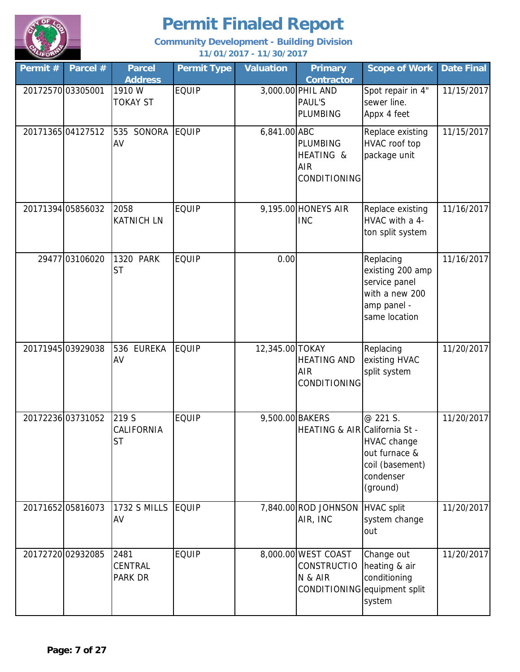

| Permit #          | Parcel #          | <b>Parcel</b><br><b>Address</b>          | <b>Permit Type</b> | <b>Valuation</b> | <b>Primary</b><br><b>Contractor</b>                   | <b>Scope of Work</b>                                                                             | <b>Date Final</b> |
|-------------------|-------------------|------------------------------------------|--------------------|------------------|-------------------------------------------------------|--------------------------------------------------------------------------------------------------|-------------------|
| 20172570 03305001 |                   | 1910 W<br><b>TOKAY ST</b>                | <b>EQUIP</b>       |                  | 3,000.00 PHIL AND<br><b>PAUL'S</b><br><b>PLUMBING</b> | Spot repair in 4"<br>sewer line.<br>Appx 4 feet                                                  | 11/15/2017        |
| 20171365 04127512 |                   | SONORA<br>535<br>AV                      | <b>EQUIP</b>       | 6,841.00 ABC     | <b>PLUMBING</b><br>HEATING &<br>AIR<br>CONDITIONING   | Replace existing<br>HVAC roof top<br>package unit                                                | 11/15/2017        |
| 20171394 05856032 |                   | 2058<br><b>KATNICH LN</b>                | <b>EQUIP</b>       |                  | 9,195.00 HONEYS AIR<br><b>INC</b>                     | Replace existing<br>HVAC with a 4-<br>ton split system                                           | 11/16/2017        |
|                   | 29477 03106020    | 1320 PARK<br><b>ST</b>                   | <b>EQUIP</b>       | 0.00             |                                                       | Replacing<br>existing 200 amp<br>service panel<br>with a new 200<br>amp panel -<br>same location | 11/16/2017        |
| 20171945 03929038 |                   | 536 EUREKA<br>AV                         | <b>EQUIP</b>       | 12,345.00 TOKAY  | <b>HEATING AND</b><br><b>AIR</b><br>CONDITIONING      | Replacing<br>existing HVAC<br>split system                                                       | 11/20/2017        |
|                   | 20172236 03731052 | 219 S<br>CALIFORNIA<br><b>ST</b>         | <b>EQUIP</b>       | 9,500.00 BAKERS  | HEATING & AIR California St -                         | @ 221 S.<br>HVAC change<br>out furnace &<br>coil (basement)<br>condenser<br>(ground)             | 11/20/2017        |
| 2017165205816073  |                   | <b>1732 S MILLS</b><br>AV                | EQUIP              |                  | 7,840.00 ROD JOHNSON<br>AIR, INC                      | <b>HVAC</b> split<br>system change<br>out                                                        | 11/20/2017        |
| 20172720 02932085 |                   | 2481<br><b>CENTRAL</b><br><b>PARK DR</b> | <b>EQUIP</b>       |                  | 8,000.00 WEST COAST<br><b>CONSTRUCTIO</b><br>N & AIR  | Change out<br>heating & air<br>conditioning<br>CONDITIONING equipment split<br>system            | 11/20/2017        |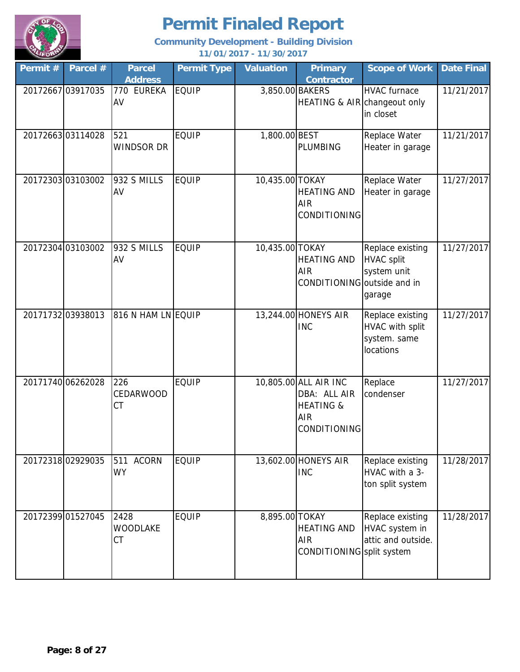

| Permit # | Parcel #          | <b>Parcel</b><br><b>Address</b>  | <b>Permit Type</b> | <b>Valuation</b> | <b>Primary</b><br><b>Contractor</b>                                                         | <b>Scope of Work</b>                                             | <b>Date Final</b> |
|----------|-------------------|----------------------------------|--------------------|------------------|---------------------------------------------------------------------------------------------|------------------------------------------------------------------|-------------------|
|          | 20172667 03917035 | 770 EUREKA<br>AV                 | <b>EQUIP</b>       | 3,850.00 BAKERS  | HEATING & AIR changeout only                                                                | <b>HVAC</b> furnace<br>in closet                                 | 11/21/2017        |
|          | 2017266303114028  | 521<br><b>WINDSOR DR</b>         | <b>EQUIP</b>       | 1,800.00 BEST    | PLUMBING                                                                                    | Replace Water<br>Heater in garage                                | 11/21/2017        |
|          | 2017230303103002  | 932 S MILLS<br>AV                | <b>EQUIP</b>       | 10,435.00 TOKAY  | <b>HEATING AND</b><br>AIR<br>CONDITIONING                                                   | Replace Water<br>Heater in garage                                | 11/27/2017        |
|          | 20172304 03103002 | 932 S MILLS<br>AV                | <b>EQUIP</b>       | 10,435.00 TOKAY  | <b>HEATING AND</b><br>AIR<br>CONDITIONING outside and in                                    | Replace existing<br><b>HVAC split</b><br>system unit<br>garage   | 11/27/2017        |
|          | 20171732 03938013 | 816 N HAM LN EQUIP               |                    |                  | 13,244.00 HONEYS AIR<br><b>INC</b>                                                          | Replace existing<br>HVAC with split<br>system. same<br>locations | 11/27/2017        |
|          | 20171740 06262028 | 226<br>CEDARWOOD<br>CT           | <b>EQUIP</b>       |                  | 10,805.00 ALL AIR INC<br>DBA: ALL AIR<br><b>HEATING &amp;</b><br><b>AIR</b><br>CONDITIONING | Replace<br>condenser                                             | 11/27/2017        |
|          | 20172318 02929035 | <b>ACORN</b><br>511<br><b>WY</b> | <b>EQUIP</b>       |                  | 13,602.00 HONEYS AIR<br><b>INC</b>                                                          | Replace existing<br>HVAC with a 3-<br>ton split system           | 11/28/2017        |
|          | 20172399 01527045 | 2428<br><b>WOODLAKE</b><br>СT    | <b>EQUIP</b>       | 8,895.00 TOKAY   | <b>HEATING AND</b><br><b>AIR</b><br>CONDITIONING split system                               | Replace existing<br>HVAC system in<br>attic and outside.         | 11/28/2017        |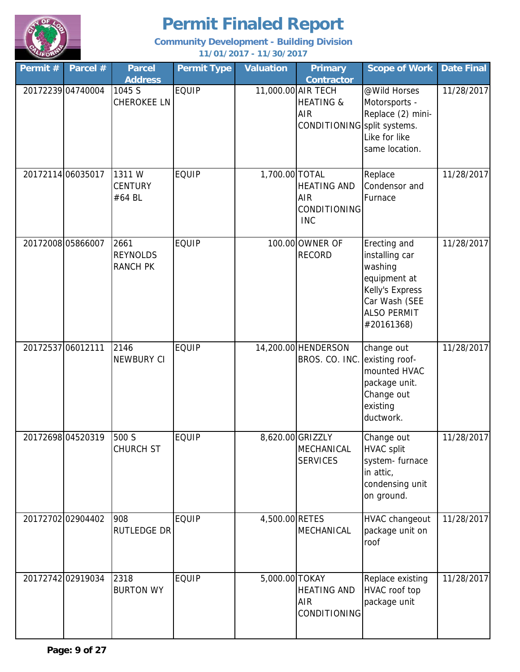

| Permit #          | Parcel #          | <b>Parcel</b><br><b>Address</b>            | <b>Permit Type</b> | <b>Valuation</b> | <b>Primary</b><br><b>Contractor</b>                                              | <b>Scope of Work</b>                                                                                                              | <b>Date Final</b> |
|-------------------|-------------------|--------------------------------------------|--------------------|------------------|----------------------------------------------------------------------------------|-----------------------------------------------------------------------------------------------------------------------------------|-------------------|
|                   | 20172239 04740004 | 1045 S<br><b>CHEROKEE LN</b>               | <b>EQUIP</b>       |                  | 11,000.00 AIR TECH<br><b>HEATING &amp;</b><br>AIR<br>CONDITIONING split systems. | @Wild Horses<br>Motorsports -<br>Replace (2) mini-<br>Like for like<br>same location.                                             | 11/28/2017        |
| 20172114 06035017 |                   | 1311 W<br><b>CENTURY</b><br>#64 BL         | <b>EQUIP</b>       | 1,700.00 TOTAL   | <b>HEATING AND</b><br>AIR<br>CONDITIONING<br><b>INC</b>                          | Replace<br>Condensor and<br>Furnace                                                                                               | 11/28/2017        |
| 20172008 05866007 |                   | 2661<br><b>REYNOLDS</b><br><b>RANCH PK</b> | <b>EQUIP</b>       |                  | 100.00 OWNER OF<br><b>RECORD</b>                                                 | Erecting and<br>installing car<br>washing<br>equipment at<br>Kelly's Express<br>Car Wash (SEE<br><b>ALSO PERMIT</b><br>#20161368) | 11/28/2017        |
| 20172537 06012111 |                   | 2146<br><b>NEWBURY CI</b>                  | <b>EQUIP</b>       |                  | 14,200.00 HENDERSON<br>BROS. CO. INC.                                            | change out<br>existing roof-<br>mounted HVAC<br>package unit.<br>Change out<br>existing<br>ductwork.                              | 11/28/2017        |
|                   | 20172698 04520319 | 500 S<br><b>CHURCH ST</b>                  | <b>EQUIP</b>       |                  | 8,620.00 GRIZZLY<br>MECHANICAL<br><b>SERVICES</b>                                | Change out<br><b>HVAC split</b><br>system-furnace<br>in attic,<br>condensing unit<br>on ground.                                   | 11/28/2017        |
|                   | 20172702 02904402 | 908<br><b>RUTLEDGE DR</b>                  | <b>EQUIP</b>       | 4,500.00 RETES   | MECHANICAL                                                                       | HVAC changeout<br>package unit on<br>roof                                                                                         | 11/28/2017        |
|                   | 20172742 02919034 | 2318<br><b>BURTON WY</b>                   | <b>EQUIP</b>       | 5,000.00 TOKAY   | <b>HEATING AND</b><br><b>AIR</b><br>CONDITIONING                                 | Replace existing<br>HVAC roof top<br>package unit                                                                                 | 11/28/2017        |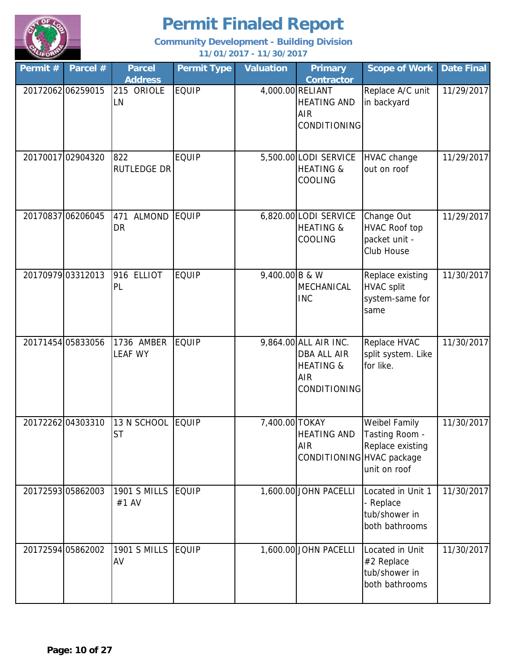

| Permit #          | Parcel #          | <b>Parcel</b><br><b>Address</b>   | <b>Permit Type</b> | <b>Valuation</b>            | <b>Primary</b><br><b>Contractor</b>                                                        | <b>Scope of Work</b>                                                | <b>Date Final</b> |
|-------------------|-------------------|-----------------------------------|--------------------|-----------------------------|--------------------------------------------------------------------------------------------|---------------------------------------------------------------------|-------------------|
|                   | 20172062 06259015 | 215 ORIOLE<br>LN                  | <b>EQUIP</b>       |                             | 4,000.00 RELIANT<br><b>HEATING AND</b><br><b>AIR</b><br>CONDITIONING                       | Replace A/C unit<br>in backyard                                     | 11/29/2017        |
|                   | 20170017 02904320 | 822<br>RUTLEDGE DR                | <b>EQUIP</b>       |                             | 5,500.00 LODI SERVICE<br><b>HEATING &amp;</b><br>COOLING                                   | <b>HVAC</b> change<br>out on roof                                   | 11/29/2017        |
| 20170837 06206045 |                   | <b>ALMOND</b><br>471<br><b>DR</b> | <b>EQUIP</b>       |                             | 6,820.00 LODI SERVICE<br><b>HEATING &amp;</b><br>COOLING                                   | Change Out<br><b>HVAC Roof top</b><br>packet unit -<br>Club House   | 11/29/2017        |
|                   | 20170979 03312013 | <b>ELLIOT</b><br>916<br>PL        | <b>EQUIP</b>       | 9,400.00 B & $\overline{W}$ | MECHANICAL<br><b>INC</b>                                                                   | Replace existing<br><b>HVAC split</b><br>system-same for<br>same    | 11/30/2017        |
| 20171454 05833056 |                   | 1736 AMBER<br><b>LEAF WY</b>      | <b>EQUIP</b>       |                             | 9,864.00 ALL AIR INC.<br>DBA ALL AIR<br><b>HEATING &amp;</b><br><b>AIR</b><br>CONDITIONING | Replace HVAC<br>split system. Like<br>for like.                     | 11/30/2017        |
| 20172262 04303310 |                   | 13 N SCHOOL<br><b>ST</b>          | EQUIP              | 7,400.00 TOKAY              | <b>HEATING AND</b><br><b>AIR</b><br>CONDITIONING HVAC package                              | Weibel Family<br>Tasting Room -<br>Replace existing<br>unit on roof | 11/30/2017        |
|                   | 20172593 05862003 | <b>1901 S MILLS</b><br>#1 AV      | <b>EQUIP</b>       |                             | 1,600.00 JOHN PACELLI                                                                      | Located in Unit 1<br>- Replace<br>tub/shower in<br>both bathrooms   | 11/30/2017        |
|                   | 20172594 05862002 | <b>1901 S MILLS</b><br>AV         | EQUIP              |                             | 1,600.00 JOHN PACELLI                                                                      | Located in Unit<br>#2 Replace<br>tub/shower in<br>both bathrooms    | 11/30/2017        |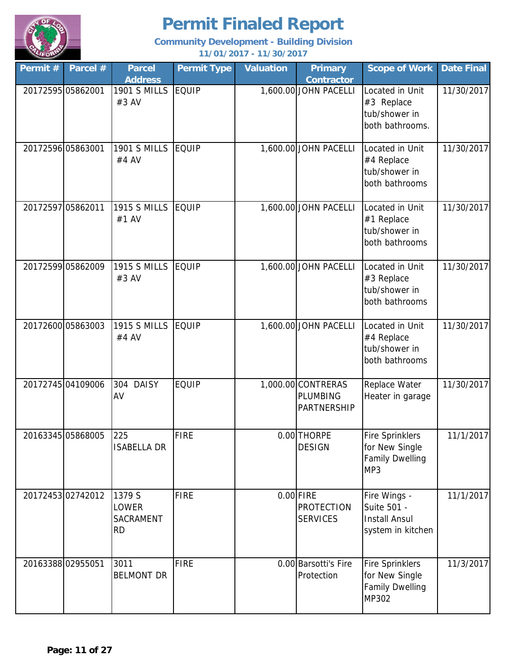

| Permit # | Parcel #          | <b>Parcel</b><br><b>Address</b>                  | <b>Permit Type</b> | <b>Valuation</b> | <b>Primary</b><br><b>Contractor</b>                 | <b>Scope of Work</b>                                                        | <b>Date Final</b> |
|----------|-------------------|--------------------------------------------------|--------------------|------------------|-----------------------------------------------------|-----------------------------------------------------------------------------|-------------------|
|          | 20172595 05862001 | <b>1901 S MILLS</b><br>#3 AV                     | <b>EQUIP</b>       |                  | 1,600.00 JOHN PACELLI                               | Located in Unit<br>#3 Replace<br>tub/shower in<br>both bathrooms.           | 11/30/2017        |
|          | 20172596 05863001 | <b>1901 S MILLS</b><br>#4 AV                     | <b>EQUIP</b>       |                  | 1,600.00 JOHN PACELLI                               | Located in Unit<br>#4 Replace<br>tub/shower in<br>both bathrooms            | 11/30/2017        |
|          | 20172597 05862011 | <b>1915 S MILLS</b><br>#1 AV                     | <b>EQUIP</b>       |                  | 1,600.00 JOHN PACELLI                               | Located in Unit<br>#1 Replace<br>tub/shower in<br>both bathrooms            | 11/30/2017        |
|          | 20172599 05862009 | <b>1915 S MILLS</b><br>#3 AV                     | <b>EQUIP</b>       |                  | 1,600.00 JOHN PACELLI                               | Located in Unit<br>#3 Replace<br>tub/shower in<br>both bathrooms            | 11/30/2017        |
|          | 20172600 05863003 | <b>1915 S MILLS</b><br>#4 AV                     | <b>EQUIP</b>       |                  | 1,600.00 JOHN PACELLI                               | Located in Unit<br>#4 Replace<br>tub/shower in<br>both bathrooms            | 11/30/2017        |
|          | 20172745 04109006 | 304<br><b>DAISY</b><br>AV                        | <b>EQUIP</b>       |                  | 1,000.00 CONTRERAS<br>PLUMBING<br>PARTNERSHIP       | Replace Water<br>Heater in garage                                           | 11/30/2017        |
|          | 20163345 05868005 | 225<br><b>ISABELLA DR</b>                        | <b>FIRE</b>        |                  | 0.00 THORPE<br><b>DESIGN</b>                        | <b>Fire Sprinklers</b><br>for New Single<br><b>Family Dwelling</b><br>MP3   | 11/1/2017         |
|          | 2017245302742012  | 1379 S<br>LOWER<br><b>SACRAMENT</b><br><b>RD</b> | <b>FIRE</b>        |                  | $0.00$ FIRE<br><b>PROTECTION</b><br><b>SERVICES</b> | Fire Wings -<br>Suite 501 -<br><b>Install Ansul</b><br>system in kitchen    | 11/1/2017         |
|          | 20163388 02955051 | 3011<br><b>BELMONT DR</b>                        | <b>FIRE</b>        |                  | 0.00 Barsotti's Fire<br>Protection                  | <b>Fire Sprinklers</b><br>for New Single<br><b>Family Dwelling</b><br>MP302 | 11/3/2017         |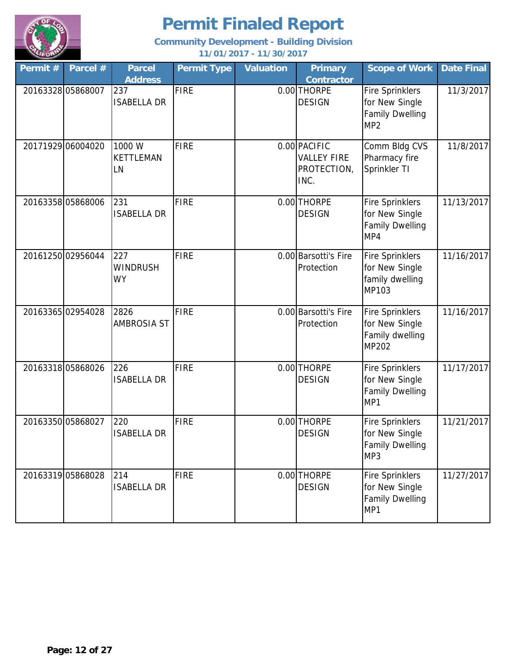

| Permit # | Parcel #          | <b>Parcel</b><br><b>Address</b>     | <b>Permit Type</b> | <b>Valuation</b> | <b>Primary</b><br><b>Contractor</b>                       | <b>Scope of Work</b>                                                                  | <b>Date Final</b> |
|----------|-------------------|-------------------------------------|--------------------|------------------|-----------------------------------------------------------|---------------------------------------------------------------------------------------|-------------------|
|          | 20163328 05868007 | 237<br><b>ISABELLA DR</b>           | <b>FIRE</b>        |                  | 0.00 THORPE<br><b>DESIGN</b>                              | <b>Fire Sprinklers</b><br>for New Single<br><b>Family Dwelling</b><br>MP <sub>2</sub> | 11/3/2017         |
|          | 20171929 06004020 | 1000 W<br><b>KETTLEMAN</b><br>LN    | <b>FIRE</b>        |                  | 0.00 PACIFIC<br><b>VALLEY FIRE</b><br>PROTECTION,<br>INC. | Comm Bldg CVS<br>Pharmacy fire<br>Sprinkler TI                                        | 11/8/2017         |
|          | 20163358 05868006 | 231<br><b>ISABELLA DR</b>           | <b>FIRE</b>        |                  | 0.00 THORPE<br><b>DESIGN</b>                              | <b>Fire Sprinklers</b><br>for New Single<br><b>Family Dwelling</b><br>MP4             | 11/13/2017        |
|          | 20161250 02956044 | 227<br><b>WINDRUSH</b><br><b>WY</b> | <b>FIRE</b>        |                  | 0.00 Barsotti's Fire<br>Protection                        | <b>Fire Sprinklers</b><br>for New Single<br>family dwelling<br>MP103                  | 11/16/2017        |
|          | 20163365 02954028 | 2826<br><b>AMBROSIA ST</b>          | <b>FIRE</b>        |                  | 0.00 Barsotti's Fire<br>Protection                        | <b>Fire Sprinklers</b><br>for New Single<br>Family dwelling<br>MP202                  | 11/16/2017        |
|          | 20163318 05868026 | 226<br><b>ISABELLA DR</b>           | <b>FIRE</b>        |                  | 0.00 THORPE<br><b>DESIGN</b>                              | <b>Fire Sprinklers</b><br>for New Single<br><b>Family Dwelling</b><br>MP1             | 11/17/2017        |
|          | 20163350 05868027 | 220<br><b>ISABELLA DR</b>           | <b>FIRE</b>        |                  | 0.00 THORPE<br><b>DESIGN</b>                              | <b>Fire Sprinklers</b><br>for New Single<br><b>Family Dwelling</b><br>MP3             | 11/21/2017        |
|          | 20163319 05868028 | 214<br><b>ISABELLA DR</b>           | <b>FIRE</b>        |                  | 0.00 THORPE<br><b>DESIGN</b>                              | <b>Fire Sprinklers</b><br>for New Single<br><b>Family Dwelling</b><br>MP1             | 11/27/2017        |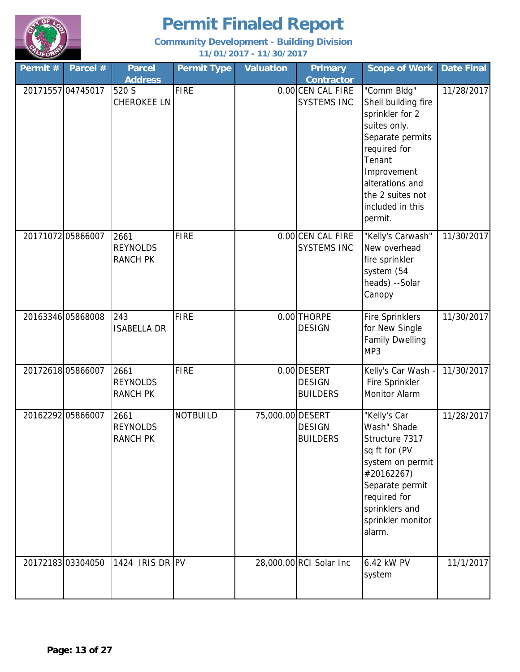

| Permit #          | Parcel #         | <b>Parcel</b><br><b>Address</b>            | <b>Permit Type</b> | <b>Valuation</b> | <b>Primary</b><br><b>Contractor</b>             | <b>Scope of Work</b>                                                                                                                                                                                     | <b>Date Final</b> |
|-------------------|------------------|--------------------------------------------|--------------------|------------------|-------------------------------------------------|----------------------------------------------------------------------------------------------------------------------------------------------------------------------------------------------------------|-------------------|
| 20171557 04745017 |                  | 520 S<br><b>CHEROKEE LN</b>                | <b>FIRE</b>        |                  | 0.00 CEN CAL FIRE<br><b>SYSTEMS INC</b>         | "Comm Bldg"<br>Shell building fire<br>sprinkler for 2<br>suites only.<br>Separate permits<br>required for<br>Tenant<br>Improvement<br>alterations and<br>the 2 suites not<br>included in this<br>permit. | 11/28/2017        |
| 20171072 05866007 |                  | 2661<br><b>REYNOLDS</b><br><b>RANCH PK</b> | <b>FIRE</b>        |                  | 0.00 CEN CAL FIRE<br><b>SYSTEMS INC</b>         | "Kelly's Carwash"<br>New overhead<br>fire sprinkler<br>system (54<br>heads) --Solar<br>Canopy                                                                                                            | 11/30/2017        |
| 20163346 05868008 |                  | 243<br><b>ISABELLA DR</b>                  | <b>FIRE</b>        |                  | 0.00 THORPE<br><b>DESIGN</b>                    | <b>Fire Sprinklers</b><br>for New Single<br><b>Family Dwelling</b><br>MP3                                                                                                                                | 11/30/2017        |
| 20172618 05866007 |                  | 2661<br><b>REYNOLDS</b><br><b>RANCH PK</b> | <b>FIRE</b>        |                  | 0.00 DESERT<br><b>DESIGN</b><br><b>BUILDERS</b> | Kelly's Car Wash -<br>Fire Sprinkler<br>Monitor Alarm                                                                                                                                                    | 11/30/2017        |
| 20162292 05866007 |                  | 2661<br><b>REYNOLDS</b><br><b>RANCH PK</b> | <b>NOTBUILD</b>    | 75,000.00 DESERT | <b>DESIGN</b><br><b>BUILDERS</b>                | "Kelly's Car<br>Wash" Shade<br>Structure 7317<br>sq ft for (PV<br>system on permit<br>#20162267)<br>Separate permit<br>required for<br>sprinklers and<br>sprinkler monitor<br>alarm.                     | 11/28/2017        |
|                   | 2017218303304050 | 1424 IRIS DR PV                            |                    |                  | 28,000.00 RCI Solar Inc                         | 6.42 kW PV<br>system                                                                                                                                                                                     | 11/1/2017         |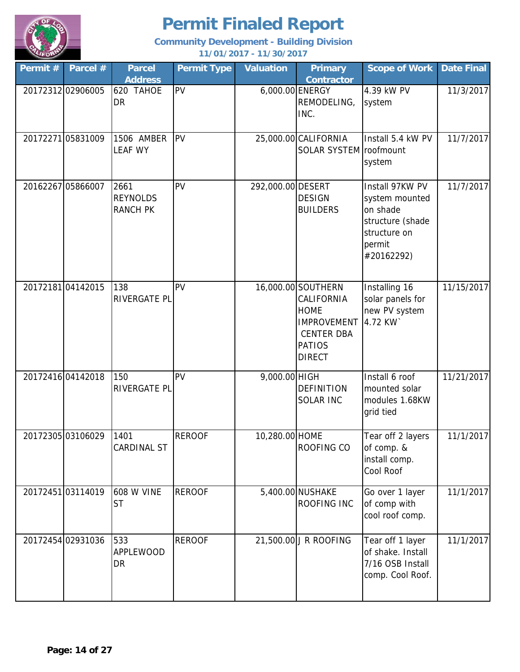

| Permit # | Parcel #          | <b>Parcel</b><br><b>Address</b>            | <b>Permit Type</b> | <b>Valuation</b>  | <b>Primary</b><br><b>Contractor</b>                                                                                          | <b>Scope of Work</b>                                                                                      | <b>Date Final</b> |
|----------|-------------------|--------------------------------------------|--------------------|-------------------|------------------------------------------------------------------------------------------------------------------------------|-----------------------------------------------------------------------------------------------------------|-------------------|
|          | 20172312 02906005 | 620 TAHOE<br>DR                            | PV                 |                   | 6,000.00 ENERGY<br>REMODELING,<br>INC.                                                                                       | 4.39 kW PV<br>system                                                                                      | 11/3/2017         |
|          | 2017227105831009  | 1506 AMBER<br><b>LEAF WY</b>               | PV                 |                   | 25,000.00 CALIFORNIA<br>SOLAR SYSTEM roofmount                                                                               | Install 5.4 kW PV<br>system                                                                               | 11/7/2017         |
|          | 20162267 05866007 | 2661<br><b>REYNOLDS</b><br><b>RANCH PK</b> | PV                 | 292,000.00 DESERT | <b>DESIGN</b><br><b>BUILDERS</b>                                                                                             | Install 97KW PV<br>system mounted<br>on shade<br>structure (shade<br>structure on<br>permit<br>#20162292) | 11/7/2017         |
|          | 2017218104142015  | 138<br>RIVERGATE PL                        | <b>PV</b>          |                   | 16,000.00 SOUTHERN<br>CALIFORNIA<br><b>HOME</b><br><b>IMPROVEMENT</b><br><b>CENTER DBA</b><br><b>PATIOS</b><br><b>DIRECT</b> | Installing 16<br>solar panels for<br>new PV system<br>4.72 KW                                             | 11/15/2017        |
|          | 20172416 04142018 | 150<br>RIVERGATE PL                        | <b>PV</b>          | 9,000.00 HIGH     | <b>DEFINITION</b><br><b>SOLAR INC</b>                                                                                        | Install 6 roof<br>mounted solar<br>modules 1.68KW<br>grid tied                                            | 11/21/2017        |
|          | 20172305 03106029 | 1401<br>CARDINAL ST                        | <b>REROOF</b>      | 10,280.00 HOME    | ROOFING CO                                                                                                                   | Tear off 2 layers<br>of comp. &<br>install comp.<br>Cool Roof                                             | 11/1/2017         |
|          | 2017245103114019  | <b>608 W VINE</b><br><b>ST</b>             | <b>REROOF</b>      |                   | 5,400.00 NUSHAKE<br>ROOFING INC                                                                                              | Go over 1 layer<br>of comp with<br>cool roof comp.                                                        | 11/1/2017         |
|          | 20172454 02931036 | 533<br><b>APPLEWOOD</b><br><b>DR</b>       | <b>REROOF</b>      |                   | 21,500.00 J R ROOFING                                                                                                        | Tear off 1 layer<br>of shake. Install<br>7/16 OSB Install<br>comp. Cool Roof.                             | 11/1/2017         |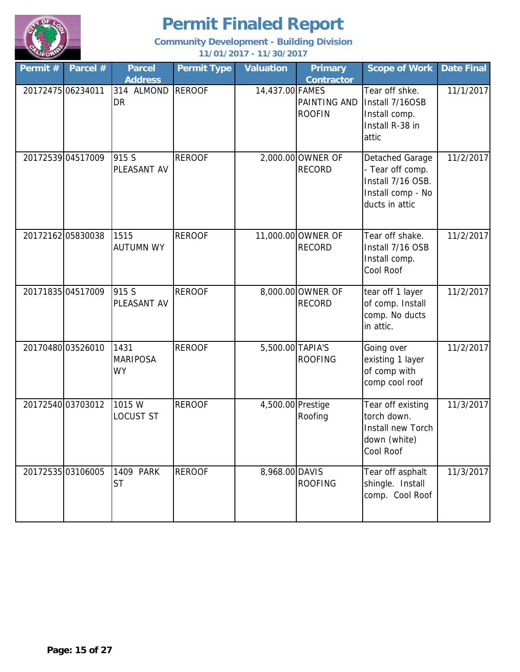

| Permit $#$        | Parcel #          | <b>Parcel</b><br><b>Address</b>      | <b>Permit Type</b> | <b>Valuation</b>  | <b>Primary</b><br><b>Contractor</b> | <b>Scope of Work</b>                                                                            | <b>Date Final</b> |
|-------------------|-------------------|--------------------------------------|--------------------|-------------------|-------------------------------------|-------------------------------------------------------------------------------------------------|-------------------|
| 20172475 06234011 |                   | 314 ALMOND<br>DR                     | <b>REROOF</b>      | 14,437.00 FAMES   | PAINTING AND<br><b>ROOFIN</b>       | Tear off shke.<br>Install 7/16OSB<br>Install comp.<br>Install R-38 in<br>attic                  | 11/1/2017         |
|                   | 20172539 04517009 | 915 S<br>PLEASANT AV                 | <b>REROOF</b>      |                   | 2,000.00 OWNER OF<br><b>RECORD</b>  | Detached Garage<br>- Tear off comp.<br>Install 7/16 OSB.<br>Install comp - No<br>ducts in attic | 11/2/2017         |
|                   | 2017216205830038  | 1515<br><b>AUTUMN WY</b>             | <b>REROOF</b>      |                   | 11,000.00 OWNER OF<br><b>RECORD</b> | Tear off shake.<br>Install 7/16 OSB<br>Install comp.<br>Cool Roof                               | 11/2/2017         |
|                   | 20171835 04517009 | 915 S<br>PLEASANT AV                 | <b>REROOF</b>      |                   | 8,000.00 OWNER OF<br><b>RECORD</b>  | tear off 1 layer<br>of comp. Install<br>comp. No ducts<br>in attic.                             | 11/2/2017         |
|                   | 20170480 03526010 | 1431<br><b>MARIPOSA</b><br><b>WY</b> | <b>REROOF</b>      | 5,500.00 TAPIA'S  | <b>ROOFING</b>                      | Going over<br>existing 1 layer<br>of comp with<br>comp cool roof                                | 11/2/2017         |
|                   | 20172540 03703012 | 1015 W<br>LOCUST ST                  | <b>REROOF</b>      | 4,500.00 Prestige | Roofing                             | Tear off existing<br>torch down.<br>Install new Torch<br>down (white)<br>Cool Roof              | 11/3/2017         |
|                   | 20172535 03106005 | 1409 PARK<br><b>ST</b>               | <b>REROOF</b>      | 8,968.00 DAVIS    | <b>ROOFING</b>                      | Tear off asphalt<br>shingle. Install<br>comp. Cool Roof                                         | 11/3/2017         |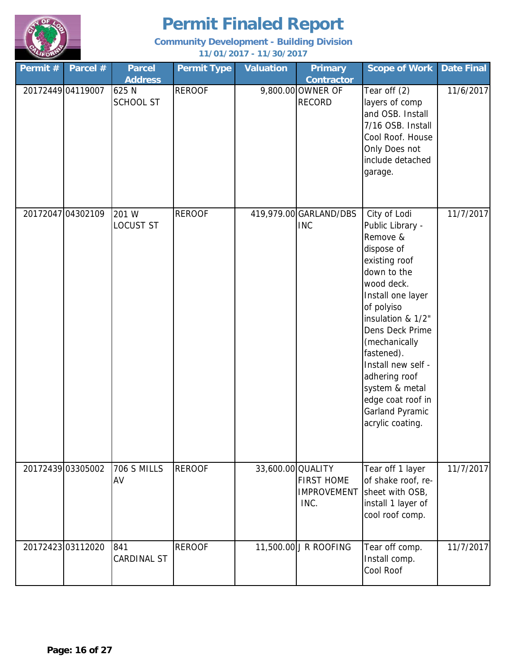

| Permit #          | Parcel #          | <b>Parcel</b><br><b>Address</b> | <b>Permit Type</b> | <b>Valuation</b>  | <b>Primary</b><br><b>Contractor</b>             | <b>Scope of Work</b>                                                                                                                                                                                                                                                                                                                    | <b>Date Final</b> |
|-------------------|-------------------|---------------------------------|--------------------|-------------------|-------------------------------------------------|-----------------------------------------------------------------------------------------------------------------------------------------------------------------------------------------------------------------------------------------------------------------------------------------------------------------------------------------|-------------------|
| 20172449 04119007 |                   | 625 N<br><b>SCHOOL ST</b>       | <b>REROOF</b>      |                   | 9,800.00 OWNER OF<br><b>RECORD</b>              | Tear off (2)<br>layers of comp<br>and OSB. Install<br>7/16 OSB. Install<br>Cool Roof. House<br>Only Does not<br>include detached<br>garage.                                                                                                                                                                                             | 11/6/2017         |
|                   | 20172047 04302109 | 201 W<br>LOCUST ST              | <b>REROOF</b>      |                   | 419,979.00 GARLAND/DBS<br><b>INC</b>            | City of Lodi<br>Public Library -<br>Remove &<br>dispose of<br>existing roof<br>down to the<br>wood deck.<br>Install one layer<br>of polyiso<br>insulation & 1/2"<br>Dens Deck Prime<br>(mechanically<br>fastened).<br>Install new self -<br>adhering roof<br>system & metal<br>edge coat roof in<br>Garland Pyramic<br>acrylic coating. | 11/7/2017         |
|                   | 20172439 03305002 | <b>706 S MILLS</b><br>AV        | <b>REROOF</b>      | 33,600.00 QUALITY | <b>FIRST HOME</b><br><b>IMPROVEMENT</b><br>INC. | Tear off 1 layer<br>of shake roof, re-<br>sheet with OSB,<br>install 1 layer of<br>cool roof comp.                                                                                                                                                                                                                                      | 11/7/2017         |
|                   | 2017242303112020  | 841<br>CARDINAL ST              | <b>REROOF</b>      |                   | 11,500.00 J R ROOFING                           | Tear off comp.<br>Install comp.<br>Cool Roof                                                                                                                                                                                                                                                                                            | 11/7/2017         |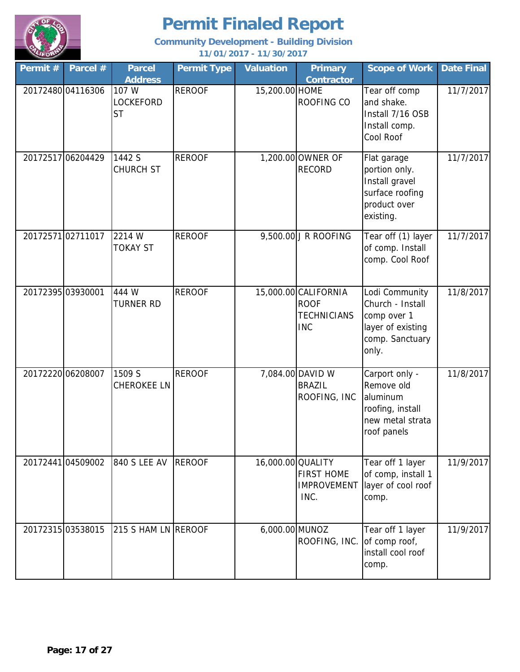

| Permit #          | Parcel #          | <b>Parcel</b><br><b>Address</b>        | <b>Permit Type</b> | Valuation         | <b>Primary</b><br><b>Contractor</b>                                     | <b>Scope of Work</b>                                                                               | <b>Date Final</b> |
|-------------------|-------------------|----------------------------------------|--------------------|-------------------|-------------------------------------------------------------------------|----------------------------------------------------------------------------------------------------|-------------------|
|                   | 20172480 04116306 | 107 W<br><b>LOCKEFORD</b><br><b>ST</b> | <b>REROOF</b>      | 15,200.00 HOME    | <b>ROOFING CO</b>                                                       | Tear off comp<br>and shake.<br>Install 7/16 OSB<br>Install comp.<br>Cool Roof                      | 11/7/2017         |
|                   | 20172517 06204429 | 1442 S<br>CHURCH ST                    | <b>REROOF</b>      |                   | 1,200.00 OWNER OF<br><b>RECORD</b>                                      | Flat garage<br>portion only.<br>Install gravel<br>surface roofing<br>product over<br>existing.     | 11/7/2017         |
|                   | 2017257102711017  | 2214 W<br><b>TOKAY ST</b>              | <b>REROOF</b>      |                   | 9,500.00 J R ROOFING                                                    | Tear off (1) layer<br>of comp. Install<br>comp. Cool Roof                                          | 11/7/2017         |
| 20172395 03930001 |                   | 444 W<br><b>TURNER RD</b>              | <b>REROOF</b>      |                   | 15,000.00 CALIFORNIA<br><b>ROOF</b><br><b>TECHNICIANS</b><br><b>INC</b> | Lodi Community<br>Church - Install<br>comp over 1<br>layer of existing<br>comp. Sanctuary<br>only. | 11/8/2017         |
| 20172220 06208007 |                   | 1509 S<br>CHEROKEE LN                  | <b>REROOF</b>      |                   | 7,084.00 DAVID W<br><b>BRAZIL</b><br>ROOFING, INC                       | Carport only -<br>Remove old<br>aluminum<br>roofing, install<br>new metal strata<br>roof panels    | 11/8/2017         |
|                   | 20172441 04509002 | 840 S LEE AV                           | <b>REROOF</b>      | 16,000.00 QUALITY | <b>FIRST HOME</b><br><b>IMPROVEMENT</b><br>INC.                         | Tear off 1 layer<br>of comp, install 1<br>layer of cool roof<br>comp.                              | 11/9/2017         |
|                   | 20172315 03538015 | 215 S HAM LN REROOF                    |                    | 6,000.00 MUNOZ    | ROOFING, INC.                                                           | Tear off 1 layer<br>of comp roof,<br>install cool roof<br>comp.                                    | 11/9/2017         |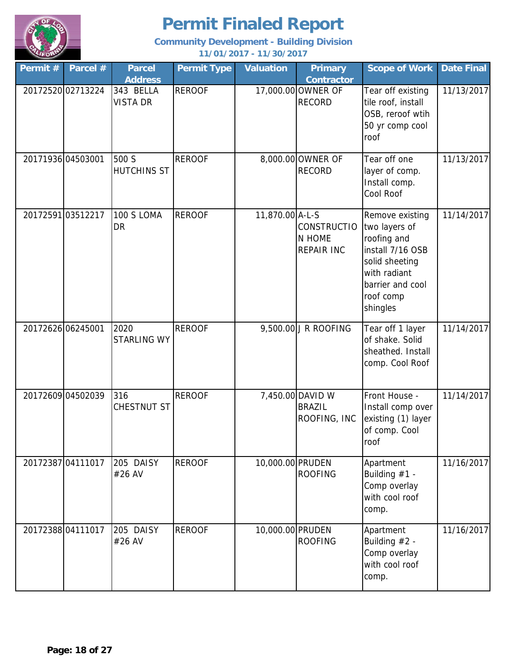

| Permit #          | Parcel #          | <b>Parcel</b><br><b>Address</b> | <b>Permit Type</b> | <b>Valuation</b> | <b>Primary</b><br><b>Contractor</b>               | <b>Scope of Work</b>                                                                                                                               | <b>Date Final</b> |
|-------------------|-------------------|---------------------------------|--------------------|------------------|---------------------------------------------------|----------------------------------------------------------------------------------------------------------------------------------------------------|-------------------|
|                   | 20172520 02713224 | 343 BELLA<br><b>VISTA DR</b>    | <b>REROOF</b>      |                  | 17,000.00 OWNER OF<br><b>RECORD</b>               | Tear off existing<br>tile roof, install<br>OSB, reroof wtih<br>50 yr comp cool<br>roof                                                             | 11/13/2017        |
| 20171936 04503001 |                   | 500 S<br><b>HUTCHINS ST</b>     | <b>REROOF</b>      |                  | 8,000.00 OWNER OF<br><b>RECORD</b>                | Tear off one<br>layer of comp.<br>Install comp.<br>Cool Roof                                                                                       | 11/13/2017        |
| 20172591 03512217 |                   | 100 S LOMA<br><b>DR</b>         | <b>REROOF</b>      | 11,870.00 A-L-S  | <b>CONSTRUCTIO</b><br>N HOME<br><b>REPAIR INC</b> | Remove existing<br>two layers of<br>roofing and<br>install 7/16 OSB<br>solid sheeting<br>with radiant<br>barrier and cool<br>roof comp<br>shingles | 11/14/2017        |
| 20172626 06245001 |                   | 2020<br>STARLING WY             | <b>REROOF</b>      |                  | 9,500.00 J R ROOFING                              | Tear off 1 layer<br>of shake. Solid<br>sheathed. Install<br>comp. Cool Roof                                                                        | 11/14/2017        |
| 20172609 04502039 |                   | 316<br>CHESTNUT ST              | <b>REROOF</b>      |                  | 7,450.00 DAVID W<br><b>BRAZIL</b><br>ROOFING, INC | Front House -<br>Install comp over<br>existing (1) layer<br>of comp. Cool<br>roof                                                                  | 11/14/2017        |
|                   | 20172387 04111017 | 205 DAISY<br>#26 AV             | <b>REROOF</b>      | 10,000.00 PRUDEN | <b>ROOFING</b>                                    | Apartment<br>Building $#1 -$<br>Comp overlay<br>with cool roof<br>comp.                                                                            | 11/16/2017        |
|                   | 20172388 04111017 | 205 DAISY<br>#26 AV             | <b>REROOF</b>      | 10,000.00 PRUDEN | <b>ROOFING</b>                                    | Apartment<br>Building $#2 -$<br>Comp overlay<br>with cool roof<br>comp.                                                                            | 11/16/2017        |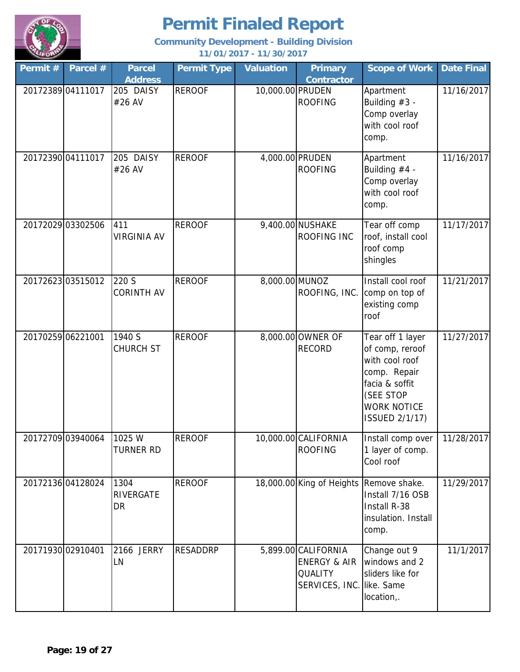

| Permit #          | Parcel #          | <b>Parcel</b><br><b>Address</b> | <b>Permit Type</b> | <b>Valuation</b> | <b>Primary</b><br><b>Contractor</b>                                                           | <b>Scope of Work</b>                                                                                                                                | Date Final |
|-------------------|-------------------|---------------------------------|--------------------|------------------|-----------------------------------------------------------------------------------------------|-----------------------------------------------------------------------------------------------------------------------------------------------------|------------|
|                   | 20172389 04111017 | 205 DAISY<br>#26 AV             | <b>REROOF</b>      | 10,000.00 PRUDEN | <b>ROOFING</b>                                                                                | Apartment<br>Building $#3 -$<br>Comp overlay<br>with cool roof<br>comp.                                                                             | 11/16/2017 |
|                   | 20172390 04111017 | 205 DAISY<br>#26 AV             | <b>REROOF</b>      |                  | 4,000.00 PRUDEN<br><b>ROOFING</b>                                                             | Apartment<br>Building $#4 -$<br>Comp overlay<br>with cool roof<br>comp.                                                                             | 11/16/2017 |
|                   | 20172029 03302506 | 411<br><b>VIRGINIA AV</b>       | <b>REROOF</b>      |                  | 9,400.00 NUSHAKE<br>ROOFING INC                                                               | Tear off comp<br>roof, install cool<br>roof comp<br>shingles                                                                                        | 11/17/2017 |
|                   | 20172623 03515012 | 220 S<br><b>CORINTH AV</b>      | <b>REROOF</b>      | 8,000.00 MUNOZ   | ROOFING, INC.                                                                                 | Install cool roof<br>comp on top of<br>existing comp<br>roof                                                                                        | 11/21/2017 |
| 20170259 06221001 |                   | 1940 S<br><b>CHURCH ST</b>      | <b>REROOF</b>      |                  | 8,000.00 OWNER OF<br><b>RECORD</b>                                                            | Tear off 1 layer<br>of comp, reroof<br>with cool roof<br>comp. Repair<br>facia & soffit<br>(SEE STOP<br><b>WORK NOTICE</b><br><b>ISSUED 2/1/17)</b> | 11/27/2017 |
|                   | 20172709 03940064 | 1025 W<br><b>TURNER RD</b>      | <b>REROOF</b>      |                  | 10,000.00 CALIFORNIA<br><b>ROOFING</b>                                                        | Install comp over<br>1 layer of comp.<br>Cool roof                                                                                                  | 11/28/2017 |
|                   | 20172136 04128024 | 1304<br><b>RIVERGATE</b><br>DR  | <b>REROOF</b>      |                  | 18,000.00 King of Heights                                                                     | Remove shake.<br>Install 7/16 OSB<br>Install R-38<br>insulation. Install<br>comp.                                                                   | 11/29/2017 |
| 20171930 02910401 |                   | 2166 JERRY<br>LN                | <b>RESADDRP</b>    |                  | 5,899.00 CALIFORNIA<br><b>ENERGY &amp; AIR</b><br><b>QUALITY</b><br>SERVICES, INC. like. Same | Change out 9<br>windows and 2<br>sliders like for<br>location,.                                                                                     | 11/1/2017  |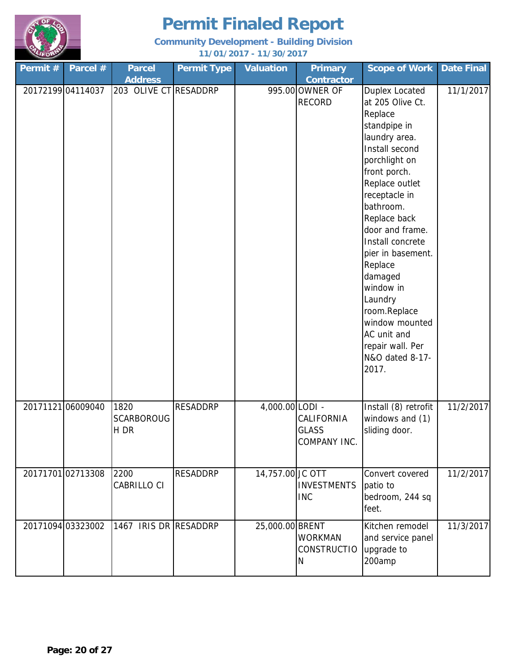

| Permit #          | Parcel #          | <b>Parcel</b><br><b>Address</b>   | <b>Permit Type</b> | <b>Valuation</b> | <b>Primary</b><br><b>Contractor</b>        | <b>Scope of Work</b>                                                                                                                                                                                                                                                                                                                                                                                         | <b>Date Final</b> |
|-------------------|-------------------|-----------------------------------|--------------------|------------------|--------------------------------------------|--------------------------------------------------------------------------------------------------------------------------------------------------------------------------------------------------------------------------------------------------------------------------------------------------------------------------------------------------------------------------------------------------------------|-------------------|
| 20172199 04114037 |                   | 203 OLIVE CT RESADDRP             |                    |                  | 995.00 OWNER OF<br><b>RECORD</b>           | Duplex Located<br>at 205 Olive Ct.<br>Replace<br>standpipe in<br>laundry area.<br>Install second<br>porchlight on<br>front porch.<br>Replace outlet<br>receptacle in<br>bathroom.<br>Replace back<br>door and frame.<br>Install concrete<br>pier in basement.<br>Replace<br>damaged<br>window in<br>Laundry<br>room.Replace<br>window mounted<br>AC unit and<br>repair wall. Per<br>N&O dated 8-17-<br>2017. | 11/1/2017         |
| 2017112106009040  |                   | 1820<br><b>SCARBOROUG</b><br>H DR | <b>RESADDRP</b>    | 4,000.00 LODI -  | CALIFORNIA<br><b>GLASS</b><br>COMPANY INC. | Install (8) retrofit<br>windows and (1)<br>sliding door.                                                                                                                                                                                                                                                                                                                                                     | 11/2/2017         |
| 2017170102713308  |                   | 2200<br>CABRILLO CI               | <b>RESADDRP</b>    | 14,757.00 JC OTT | <b>INVESTMENTS</b><br><b>INC</b>           | Convert covered<br>patio to<br>bedroom, 244 sq<br>feet.                                                                                                                                                                                                                                                                                                                                                      | 11/2/2017         |
|                   | 20171094 03323002 | 1467 IRIS DR RESADDRP             |                    | 25,000.00 BRENT  | <b>WORKMAN</b><br><b>CONSTRUCTIO</b><br>N  | Kitchen remodel<br>and service panel<br>upgrade to<br>200amp                                                                                                                                                                                                                                                                                                                                                 | 11/3/2017         |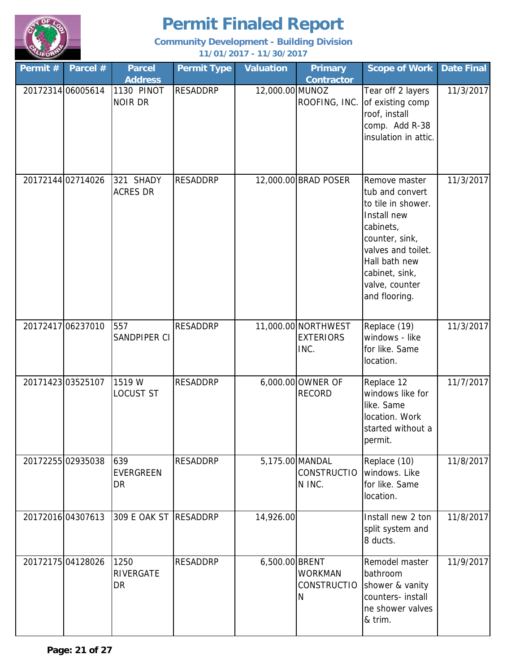

| Permit #          | Parcel # | <b>Parcel</b><br><b>Address</b> | <b>Permit Type</b> | <b>Valuation</b> | <b>Primary</b><br><b>Contractor</b>             | <b>Scope of Work</b>                                                                                                                                                                             | <b>Date Final</b> |
|-------------------|----------|---------------------------------|--------------------|------------------|-------------------------------------------------|--------------------------------------------------------------------------------------------------------------------------------------------------------------------------------------------------|-------------------|
| 20172314 06005614 |          | 1130 PINOT<br><b>NOIR DR</b>    | <b>RESADDRP</b>    | 12,000.00 MUNOZ  | ROOFING, INC.                                   | Tear off 2 layers<br>of existing comp<br>roof, install<br>comp. Add R-38<br>insulation in attic.                                                                                                 | 11/3/2017         |
| 20172144 02714026 |          | 321 SHADY<br><b>ACRES DR</b>    | <b>RESADDRP</b>    |                  | 12,000.00 BRAD POSER                            | Remove master<br>tub and convert<br>to tile in shower.<br>Install new<br>cabinets,<br>counter, sink,<br>valves and toilet.<br>Hall bath new<br>cabinet, sink,<br>valve, counter<br>and flooring. | 11/3/2017         |
| 20172417 06237010 |          | 557<br>SANDPIPER CI             | <b>RESADDRP</b>    |                  | 11,000.00 NORTHWEST<br><b>EXTERIORS</b><br>INC. | Replace (19)<br>windows - like<br>for like. Same<br>location.                                                                                                                                    | 11/3/2017         |
| 20171423 03525107 |          | 1519 W<br><b>LOCUST ST</b>      | <b>RESADDRP</b>    |                  | 6,000.00 OWNER OF<br><b>RECORD</b>              | Replace 12<br>windows like for<br>like. Same<br>location. Work<br>started without a<br>permit.                                                                                                   | 11/7/2017         |
| 20172255 02935038 |          | 639<br><b>EVERGREEN</b><br>DR   | <b>RESADDRP</b>    |                  | 5,175.00 MANDAL<br><b>CONSTRUCTIO</b><br>N INC. | Replace (10)<br>windows. Like<br>for like. Same<br>location.                                                                                                                                     | 11/8/2017         |
| 20172016 04307613 |          | 309 E OAK ST                    | <b>RESADDRP</b>    | 14,926.00        |                                                 | Install new 2 ton<br>split system and<br>8 ducts.                                                                                                                                                | 11/8/2017         |
| 20172175 04128026 |          | 1250<br>RIVERGATE<br>DR         | <b>RESADDRP</b>    | 6,500.00 BRENT   | <b>WORKMAN</b><br><b>CONSTRUCTIO</b><br>N       | Remodel master<br>bathroom<br>shower & vanity<br>counters- install<br>ne shower valves<br>& trim.                                                                                                | 11/9/2017         |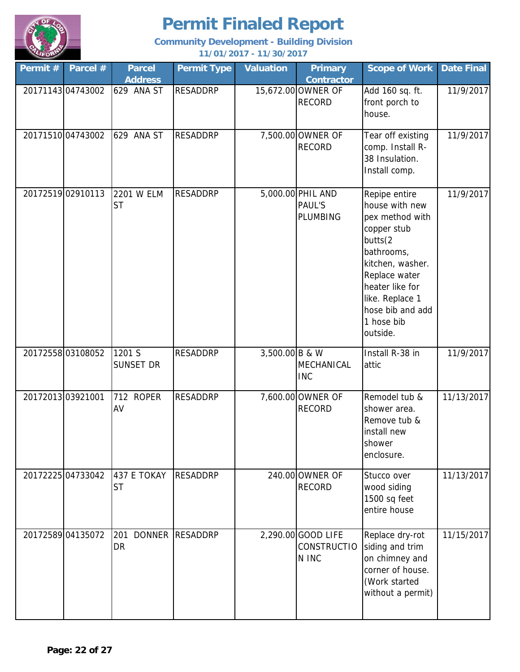

| Permit $#$       | Parcel #          | <b>Parcel</b><br><b>Address</b>   | <b>Permit Type</b> | <b>Valuation</b> | <b>Primary</b><br><b>Contractor</b>                   | <b>Scope of Work</b>                                                                                                                                                                                                | <b>Date Final</b> |
|------------------|-------------------|-----------------------------------|--------------------|------------------|-------------------------------------------------------|---------------------------------------------------------------------------------------------------------------------------------------------------------------------------------------------------------------------|-------------------|
|                  | 2017114304743002  | 629 ANA ST                        | <b>RESADDRP</b>    |                  | 15,672.00 OWNER OF<br><b>RECORD</b>                   | Add 160 sq. ft.<br>front porch to<br>house.                                                                                                                                                                         | 11/9/2017         |
|                  | 2017151004743002  | 629 ANA ST                        | <b>RESADDRP</b>    |                  | 7,500.00 OWNER OF<br><b>RECORD</b>                    | Tear off existing<br>comp. Install R-<br>38 Insulation.<br>Install comp.                                                                                                                                            | 11/9/2017         |
|                  | 20172519 02910113 | 2201 W ELM<br><b>ST</b>           | <b>RESADDRP</b>    |                  | 5,000.00 PHIL AND<br><b>PAUL'S</b><br><b>PLUMBING</b> | Repipe entire<br>house with new<br>pex method with<br>copper stub<br>butts(2<br>bathrooms,<br>kitchen, washer.<br>Replace water<br>heater like for<br>like. Replace 1<br>hose bib and add<br>1 hose bib<br>outside. | 11/9/2017         |
|                  | 2017255803108052  | 1201 S<br><b>SUNSET DR</b>        | <b>RESADDRP</b>    | 3,500.00 B & W   | MECHANICAL<br><b>INC</b>                              | Install R-38 in<br>attic                                                                                                                                                                                            | 11/9/2017         |
| 2017201303921001 |                   | 712 ROPER<br>AV                   | <b>RESADDRP</b>    |                  | 7,600.00 OWNER OF<br><b>RECORD</b>                    | Remodel tub &<br>shower area.<br>Remove tub &<br>install new<br>shower<br>enclosure.                                                                                                                                | 11/13/2017        |
|                  | 20172225 04733042 | 437 E TOKAY<br><b>ST</b>          | <b>RESADDRP</b>    |                  | 240.00 OWNER OF<br><b>RECORD</b>                      | Stucco over<br>wood siding<br>1500 sq feet<br>entire house                                                                                                                                                          | 11/13/2017        |
|                  | 20172589 04135072 | 201<br><b>DONNER</b><br><b>DR</b> | <b>RESADDRP</b>    |                  | 2,290.00 GOOD LIFE<br><b>CONSTRUCTIO</b><br>N INC     | Replace dry-rot<br>siding and trim<br>on chimney and<br>corner of house.<br>(Work started<br>without a permit)                                                                                                      | 11/15/2017        |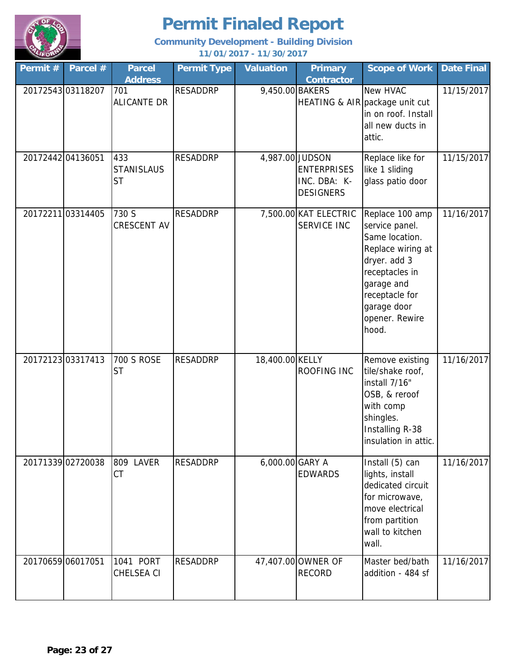

| Permit #          | Parcel #          | <b>Parcel</b><br><b>Address</b>       | <b>Permit Type</b> | <b>Valuation</b> | <b>Primary</b><br><b>Contractor</b>                                       | <b>Scope of Work</b>                                                                                                                                                                 | <b>Date Final</b> |
|-------------------|-------------------|---------------------------------------|--------------------|------------------|---------------------------------------------------------------------------|--------------------------------------------------------------------------------------------------------------------------------------------------------------------------------------|-------------------|
| 2017254303118207  |                   | 701<br>ALICANTE DR                    | <b>RESADDRP</b>    | 9,450.00 BAKERS  |                                                                           | New HVAC<br>HEATING & AIR package unit cut<br>in on roof. Install<br>all new ducts in<br>attic.                                                                                      | 11/15/2017        |
| 20172442 04136051 |                   | 433<br><b>STANISLAUS</b><br><b>ST</b> | <b>RESADDRP</b>    |                  | 4,987.00 JUDSON<br><b>ENTERPRISES</b><br>INC. DBA: K-<br><b>DESIGNERS</b> | Replace like for<br>like 1 sliding<br>glass patio door                                                                                                                               | 11/15/2017        |
|                   | 20172211 03314405 | 730 S<br>CRESCENT AV                  | <b>RESADDRP</b>    |                  | 7,500.00 KAT ELECTRIC<br><b>SERVICE INC</b>                               | Replace 100 amp<br>service panel.<br>Same location.<br>Replace wiring at<br>dryer. add 3<br>receptacles in<br>garage and<br>receptacle for<br>garage door<br>opener. Rewire<br>hood. | 11/16/2017        |
| 20172123 03317413 |                   | <b>700 S ROSE</b><br><b>ST</b>        | <b>RESADDRP</b>    | 18,400.00 KELLY  | ROOFING INC                                                               | Remove existing<br>tile/shake roof,<br>install 7/16"<br>OSB, & reroof<br>with comp<br>shingles.<br>Installing R-38<br>insulation in attic.                                           | 11/16/2017        |
|                   | 20171339 02720038 | <b>LAVER</b><br>809<br><b>CT</b>      | <b>RESADDRP</b>    | 6,000.00 GARY A  | <b>EDWARDS</b>                                                            | Install (5) can<br>lights, install<br>dedicated circuit<br>for microwave,<br>move electrical<br>from partition<br>wall to kitchen<br>wall.                                           | 11/16/2017        |
| 20170659 06017051 |                   | 1041 PORT<br>CHELSEA CI               | <b>RESADDRP</b>    |                  | 47,407.00 OWNER OF<br><b>RECORD</b>                                       | Master bed/bath<br>addition - 484 sf                                                                                                                                                 | 11/16/2017        |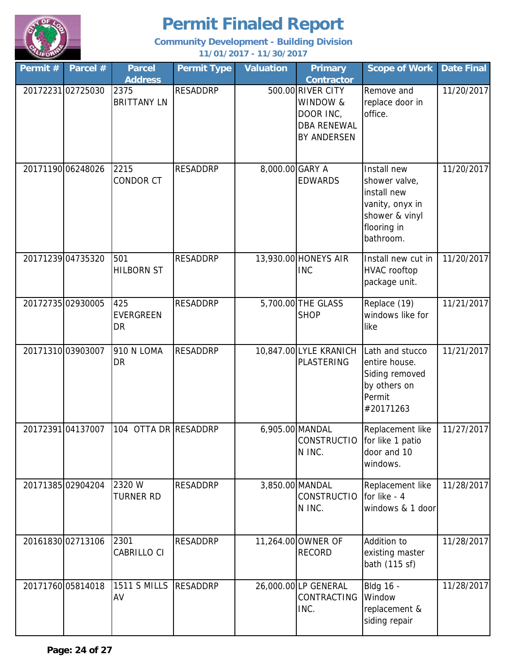

| Permit # | Parcel #          | <b>Parcel</b><br><b>Address</b> | <b>Permit Type</b> | <b>Valuation</b> | <b>Primary</b><br><b>Contractor</b>                                             | <b>Scope of Work</b>                                                                                         | <b>Date Final</b> |
|----------|-------------------|---------------------------------|--------------------|------------------|---------------------------------------------------------------------------------|--------------------------------------------------------------------------------------------------------------|-------------------|
|          | 20172231 02725030 | 2375<br><b>BRITTANY LN</b>      | <b>RESADDRP</b>    |                  | 500.00 RIVER CITY<br>WINDOW &<br>DOOR INC,<br><b>DBA RENEWAL</b><br>BY ANDERSEN | Remove and<br>replace door in<br>office.                                                                     | 11/20/2017        |
|          | 20171190 06248026 | 2215<br>CONDOR CT               | <b>RESADDRP</b>    | 8,000.00 GARY A  | <b>EDWARDS</b>                                                                  | Install new<br>shower valve,<br>install new<br>vanity, onyx in<br>shower & vinyl<br>flooring in<br>bathroom. | 11/20/2017        |
|          | 20171239 04735320 | 501<br><b>HILBORN ST</b>        | <b>RESADDRP</b>    |                  | 13,930.00 HONEYS AIR<br><b>INC</b>                                              | Install new cut in<br><b>HVAC</b> rooftop<br>package unit.                                                   | 11/20/2017        |
|          | 20172735 02930005 | 425<br><b>EVERGREEN</b><br>DR   | <b>RESADDRP</b>    |                  | 5,700.00 THE GLASS<br><b>SHOP</b>                                               | Replace (19)<br>windows like for<br>like                                                                     | 11/21/2017        |
|          | 2017131003903007  | <b>910 N LOMA</b><br>DR         | <b>RESADDRP</b>    |                  | 10,847.00 LYLE KRANICH<br><b>PLASTERING</b>                                     | Lath and stucco<br>entire house.<br>Siding removed<br>by others on<br>Permit<br>#20171263                    | 11/21/2017        |
|          | 2017239104137007  | 104                             | OTTA DR RESADDRP   |                  | 6,905.00 MANDAL<br>CONSTRUCTIO for like 1 patio<br>N INC.                       | Replacement like<br>door and 10<br>windows.                                                                  | 11/27/2017        |
|          | 20171385 02904204 | 2320 W<br><b>TURNER RD</b>      | <b>RESADDRP</b>    |                  | 3,850.00 MANDAL<br><b>CONSTRUCTIO</b><br>N INC.                                 | Replacement like<br>for like - 4<br>windows & 1 door                                                         | 11/28/2017        |
|          | 20161830 02713106 | 2301<br>CABRILLO CI             | <b>RESADDRP</b>    |                  | 11,264.00 OWNER OF<br><b>RECORD</b>                                             | Addition to<br>existing master<br>bath (115 sf)                                                              | 11/28/2017        |
|          | 20171760 05814018 | <b>1511 S MILLS</b><br>AV       | <b>RESADDRP</b>    |                  | 26,000.00 LP GENERAL<br>CONTRACTING<br>INC.                                     | <b>Bldg 16 -</b><br>Window<br>replacement &<br>siding repair                                                 | 11/28/2017        |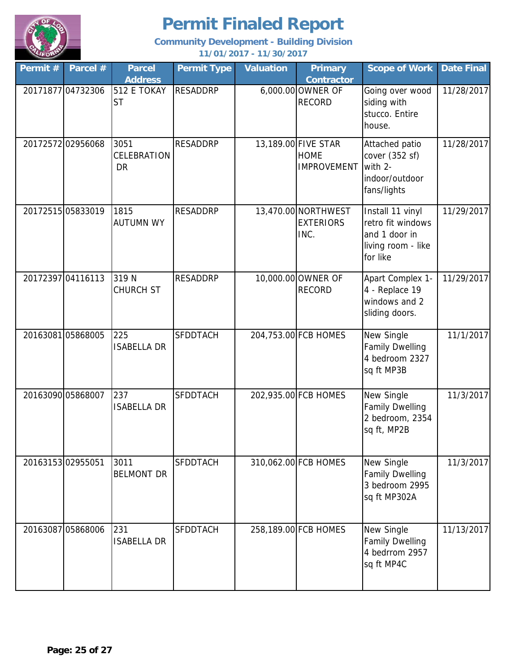

| Permit #          | Parcel #          | <b>Parcel</b><br><b>Address</b>  | <b>Permit Type</b> | <b>Valuation</b> | <b>Primary</b><br><b>Contractor</b>                      | <b>Scope of Work</b>                                                                     | <b>Date Final</b> |
|-------------------|-------------------|----------------------------------|--------------------|------------------|----------------------------------------------------------|------------------------------------------------------------------------------------------|-------------------|
|                   | 20171877 04732306 | 512 E TOKAY<br><b>ST</b>         | <b>RESADDRP</b>    |                  | 6,000.00 OWNER OF<br><b>RECORD</b>                       | Going over wood<br>siding with<br>stucco. Entire<br>house.                               | 11/28/2017        |
|                   | 20172572 02956068 | 3051<br>CELEBRATION<br><b>DR</b> | <b>RESADDRP</b>    |                  | 13,189.00 FIVE STAR<br><b>HOME</b><br><b>IMPROVEMENT</b> | Attached patio<br>cover (352 sf)<br>with 2-<br>indoor/outdoor<br>fans/lights             | 11/28/2017        |
|                   | 20172515 05833019 | 1815<br><b>AUTUMN WY</b>         | <b>RESADDRP</b>    |                  | 13,470.00 NORTHWEST<br><b>EXTERIORS</b><br>INC.          | Install 11 vinyl<br>retro fit windows<br>and 1 door in<br>living room - like<br>for like | 11/29/2017        |
|                   | 20172397 04116113 | 319 N<br><b>CHURCH ST</b>        | <b>RESADDRP</b>    |                  | 10,000.00 OWNER OF<br><b>RECORD</b>                      | Apart Complex 1-<br>4 - Replace 19<br>windows and 2<br>sliding doors.                    | 11/29/2017        |
|                   | 2016308105868005  | 225<br><b>ISABELLA DR</b>        | <b>SFDDTACH</b>    |                  | 204,753.00 FCB HOMES                                     | New Single<br><b>Family Dwelling</b><br>4 bedroom 2327<br>sq ft MP3B                     | 11/1/2017         |
| 20163090 05868007 |                   | 237<br><b>ISABELLA DR</b>        | <b>SFDDTACH</b>    |                  | 202,935.00 FCB HOMES                                     | New Single<br><b>Family Dwelling</b><br>2 bedroom, 2354<br>sq ft, MP2B                   | 11/3/2017         |
| 2016315302955051  |                   | 3011<br><b>BELMONT DR</b>        | <b>SFDDTACH</b>    |                  | 310,062.00 FCB HOMES                                     | New Single<br><b>Family Dwelling</b><br>3 bedroom 2995<br>sq ft MP302A                   | 11/3/2017         |
|                   | 20163087 05868006 | 231<br><b>ISABELLA DR</b>        | <b>SFDDTACH</b>    |                  | 258,189.00 FCB HOMES                                     | New Single<br>Family Dwelling<br>4 bedrrom 2957<br>sq ft MP4C                            | 11/13/2017        |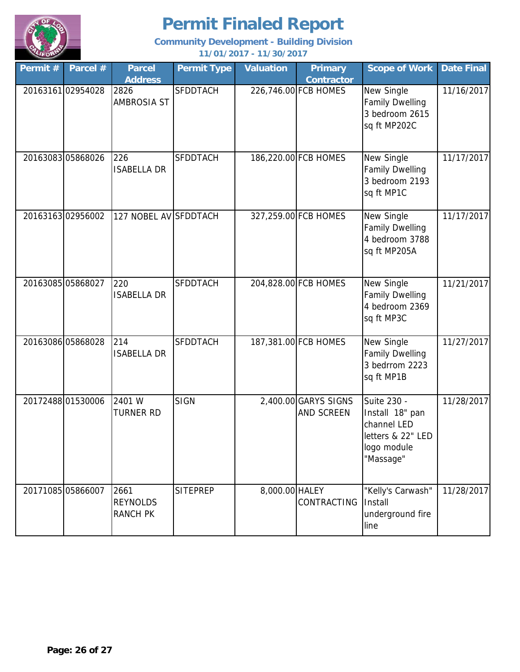

| Permit #          | Parcel #          | <b>Parcel</b><br><b>Address</b>            | <b>Permit Type</b> | <b>Valuation</b> | <b>Primary</b><br><b>Contractor</b> | <b>Scope of Work</b>                                                                           | <b>Date Final</b> |
|-------------------|-------------------|--------------------------------------------|--------------------|------------------|-------------------------------------|------------------------------------------------------------------------------------------------|-------------------|
|                   | 2016316102954028  | 2826<br><b>AMBROSIA ST</b>                 | <b>SFDDTACH</b>    |                  | 226,746.00 FCB HOMES                | New Single<br><b>Family Dwelling</b><br>3 bedroom 2615<br>sq ft MP202C                         | 11/16/2017        |
| 20163083 05868026 |                   | 226<br><b>ISABELLA DR</b>                  | <b>SFDDTACH</b>    |                  | 186,220.00 FCB HOMES                | New Single<br><b>Family Dwelling</b><br>3 bedroom 2193<br>sq ft MP1C                           | 11/17/2017        |
|                   | 2016316302956002  | 127 NOBEL AV SFDDTACH                      |                    |                  | 327,259.00 FCB HOMES                | New Single<br><b>Family Dwelling</b><br>4 bedroom 3788<br>sq ft MP205A                         | 11/17/2017        |
| 20163085 05868027 |                   | 220<br><b>ISABELLA DR</b>                  | <b>SFDDTACH</b>    |                  | 204,828.00 FCB HOMES                | New Single<br><b>Family Dwelling</b><br>4 bedroom 2369<br>sq ft MP3C                           | 11/21/2017        |
| 20163086 05868028 |                   | 214<br><b>ISABELLA DR</b>                  | <b>SFDDTACH</b>    |                  | 187,381.00 FCB HOMES                | New Single<br><b>Family Dwelling</b><br>3 bedrrom 2223<br>sq ft MP1B                           | 11/27/2017        |
|                   | 20172488 01530006 | 2401 W<br><b>TURNER RD</b>                 | <b>SIGN</b>        |                  | 2,400.00 GARYS SIGNS<br>AND SCREEN  | Suite 230 -<br>Install 18" pan<br>channel LED<br>letters & 22" LED<br>logo module<br>"Massage" | 11/28/2017        |
|                   | 20171085 05866007 | 2661<br><b>REYNOLDS</b><br><b>RANCH PK</b> | <b>SITEPREP</b>    | 8,000.00 HALEY   | <b>CONTRACTING</b>                  | "Kelly's Carwash"<br>Install<br>underground fire<br>line                                       | 11/28/2017        |